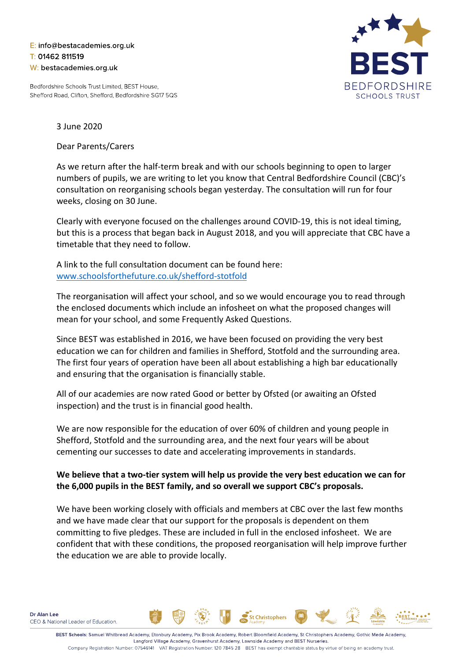## E: info@bestacademies.org.uk T: 01462 811519 W: bestacademies.org.uk

Bedfordshire Schools Trust Limited, BEST House, Shefford Road, Clifton, Shefford, Bedfordshire SG17 5QS



3 June 2020

Dear Parents/Carers

As we return after the half-term break and with our schools beginning to open to larger numbers of pupils, we are writing to let you know that Central Bedfordshire Council (CBC)'s consultation on reorganising schools began yesterday. The consultation will run for four weeks, closing on 30 June.

Clearly with everyone focused on the challenges around COVID-19, this is not ideal timing, but this is a process that began back in August 2018, and you will appreciate that CBC have a timetable that they need to follow.

A link to the full consultation document can be found here: [www.schoolsforthefuture.co.uk/shefford-stotfold](http://www.schoolsforthefuture.co.uk/shefford-stotfold)

The reorganisation will affect your school, and so we would encourage you to read through the enclosed documents which include an infosheet on what the proposed changes will mean for your school, and some Frequently Asked Questions.

Since BEST was established in 2016, we have been focused on providing the very best education we can for children and families in Shefford, Stotfold and the surrounding area. The first four years of operation have been all about establishing a high bar educationally and ensuring that the organisation is financially stable.

All of our academies are now rated Good or better by Ofsted (or awaiting an Ofsted inspection) and the trust is in financial good health.

We are now responsible for the education of over 60% of children and young people in Shefford, Stotfold and the surrounding area, and the next four years will be about cementing our successes to date and accelerating improvements in standards.

## **We believe that a two-tier system will help us provide the very best education we can for the 6,000 pupils in the BEST family, and so overall we support CBC's proposals.**

We have been working closely with officials and members at CBC over the last few months and we have made clear that our support for the proposals is dependent on them committing to five pledges. These are included in full in the enclosed infosheet. We are confident that with these conditions, the proposed reorganisation will help improve further the education we are able to provide locally.

**St Christophers**